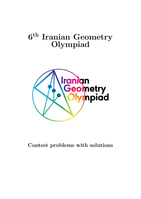### $6^{\text{th}}$  Iranian Geometry Olympiad



Contest problems with solutions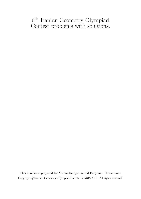#### 6 th Iranian Geometry Olympiad Contest problems with solutions.

This booklet is prepared by Alireza Dadgarnia and Benyamin Ghaseminia. Copyright ©[Iranian Geometry Olympiad Secretariat](https://igo-official.ir/) 2018-2019. All rights reserved.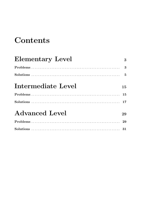### Contents

| <b>Elementary Level</b>                                                                                                        | 3  |
|--------------------------------------------------------------------------------------------------------------------------------|----|
|                                                                                                                                |    |
| Solutions $\ldots$ $\ldots$ $\ldots$ $\ldots$ $\ldots$ $\ldots$ $\ldots$ $\ldots$ $\ldots$ $\ldots$ $\ldots$ $\ldots$ $\ldots$ |    |
| Intermediate Level                                                                                                             | 15 |
|                                                                                                                                | 15 |
|                                                                                                                                |    |
| <b>Advanced Level</b>                                                                                                          | 29 |
|                                                                                                                                | 29 |
|                                                                                                                                |    |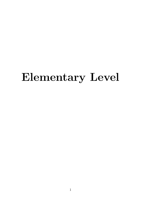## <span id="page-3-0"></span>Elementary Level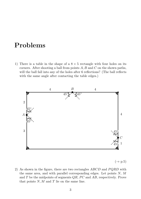#### <span id="page-5-0"></span>Problems

1) There is a table in the shape of a  $8 \times 5$  rectangle with four holes on its corners. After shooting a ball from points  $A, B$  and  $C$  on the shown paths, will the ball fall into any of the holes after 6 reflections? (The ball reflects with the same angle after contacting the table edges.)



 $(\rightarrow p.5)$  $(\rightarrow p.5)$ 

2) As shown in the figure, there are two rectangles  $ABCD$  and  $PQRD$  with the same area, and with parallel corresponding edges. Let points  $N$ ,  $M$ and  $T$  be the midpoints of segments  $QR$ ,  $PC$  and  $AB$ , respectively. Prove that points  $N, M$  and  $T$  lie on the same line.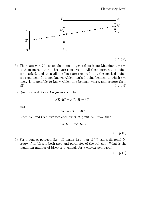

- 3) There are  $n > 2$  lines on the plane in general position; Meaning any two of them meet, but no three are concurrent. All their intersection points are marked, and then all the lines are removed, but the marked points are remained. It is not known which marked point belongs to which two lines. Is it possible to know which line belongs where, and restore them all?  $(\rightarrow p.9)$  $(\rightarrow p.9)$
- 4) Quadrilateral ABCD is given such that

$$
\angle DAC = \angle CAB = 60^{\circ},
$$

and

$$
AB = BD - AC.
$$

Lines AB and CD intersect each other at point E. Prove that

$$
\angle ADB = 2\angle BEC.
$$

 $(\rightarrow p.10)$  $(\rightarrow p.10)$ 

5) For a convex polygon (i.e. all angles less than  $180^\circ$ ) call a diagonal bisector if its bisects both area and perimeter of the polygon. What is the maximum number of bisector diagonals for a convex pentagon?

 $(\rightarrow p.11)$  $(\rightarrow p.11)$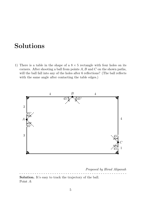### <span id="page-7-0"></span>Solutions

1) There is a table in the shape of a  $8 \times 5$  rectangle with four holes on its corners. After shooting a ball from points  $A, B$  and  $C$  on the shown paths, will the ball fall into any of the holes after 6 reflections? (The ball reflects with the same angle after contacting the table edges.)



Proposed by Hirad Alipanah

- - - - - - - - - - - - - - - - - - - - - - - - - - - - - - - - - - - - - - - - - - - - - - - - - Solution. It's easy to track the trajectory of the ball. Point A: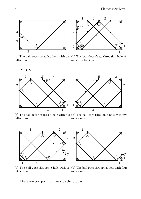

(a) The ball goes through a hole with one (b) The ball doesn't go through a hole afreflection. ter six reflections.

Point B:



(a) The ball goes through a hole with five (b) The ball goes through a hole with five reflections. reflections.



(a) The ball goes through a hole with six (b) The ball goes through a hole with four refelctions. reflections.

There are two point of views to the problem: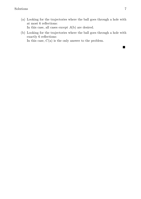- (a) Looking for the trajectories where the ball goes through a hole with at most 6 reflections: In this case, all cases except  $A(b)$  are desired.
- <span id="page-9-0"></span>(b) Looking for the trajectories where the ball goes through a hole with exactly 6 reflections:

In this case,  $C(a)$  is the only answer to the problem.

 $\blacksquare$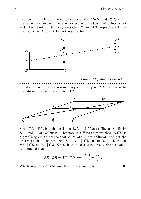2) As shown in the figure, there are two rectangles  $ABCD$  and  $PQRD$  with the same area, and with parallel corresponding edges. Let points  $N$ ,  $M$ and  $T$  be the midpoints of segments  $QR$ ,  $PC$  and  $AB$ , respectively. Prove that points  $N, M$  and  $T$  lie on the same line.



Proposed by Morteza Saghafian - - - - - - - - - - - - - - - - - - - - - - - - - - - - - - - - - - - - - - - - - - - - - - - - -

**Solution.** Let  $L$  be the intersection point of  $PQ$  and  $CR$ , and let  $K$  be the intersection point of BC and AP.



Since  $QR \parallel PC$ , it is deduced that L, N and M are collinear; Similarly,  $K, T$  and M are collinear. Therefore it suffices to prove that  $PLCK$  is a parallelogram to deduce that  $K, M$  and  $L$  are collinear, and get the desired result of the problem. Since  $PL \parallel CK$ , it suffices to show that  $PK \parallel CL$ , or  $PA \parallel CR$ . Since the areas of the two rectangles are equal, it is implied that

$$
PD \cdot DR = AD \cdot CD \implies \frac{PD}{CD} = \frac{AD}{DR}.
$$

Which implies  $AP \parallel CR$ , and the proof is complete.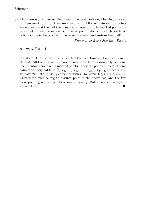3) There are  $n > 2$  lines on the plane in general position; Meaning any two of them meet, but no three are concurrent. All their intersection points are marked, and then all the lines are removed, but the marked points are remained. It is not known which marked point belongs to which two lines. Is it possible to know which line belongs where, and restore them all?

Proposed by Boris Frenkin - Russia - - - - - - - - - - - - - - - - - - - - - - - - - - - - - - - - - - - - - - - - - - - - - - - - - Answer. Yes, it is.

**Solution.** Draw the lines which each of them contains  $n-1$  marked points, at least. All the original lines are among these lines. Conversely, let some line  $\ell$  contains some  $n-1$  marked points. They are points of meet of some pairs of the original lines  $(\ell_1, \ell_2),(\ell_3, \ell_4), \ldots,(\ell_{2n-3}, \ell_{2n-2})$ . Since  $n > 2$ , we have  $2n - 2 > n$ , so  $\ell_i$  coincides with  $\ell_j$  for some  $1 \leq i < j \leq 2n - 2$ . Then these lines belong to distinct pairs in the above list, and the two corresponding marked points belong to  $\ell_i = \ell_j$ . But then also  $\ell = \ell_i$ , and we are done.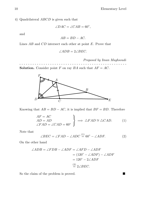4) Quadrilateral ABCD is given such that

$$
\angle DAC = \angle CAB = 60^{\circ},
$$

and

$$
AB = BD - AC.
$$

Lines AB and CD intersect each other at point E. Prove that

$$
\angle ADB = 2\angle BEC.
$$

Proposed by Iman Maghsoudi

- - - - - - - - - - - - - - - - - - - - - - - - - - - - - - - - - - - - - - - - - - - - - - - - - **Solution.** Consider point F on ray BA such that  $AF = AC$ .



Knowing that  $AB = BD - AC$ , it is implied that  $BF = BD$ . Therefore

<span id="page-12-1"></span>
$$
\left\{\n\begin{aligned}\nAF &= AC \\
AD &= AD \\
\angle FAD &= \angle CAD = 60^\circ\n\end{aligned}\n\right\}\n\implies \triangle FAD \cong \triangle CAD.\n\tag{1}
$$

Note that

<span id="page-12-0"></span>
$$
\angle BEC = \angle FAD - \angle ADC \stackrel{(1)}{=} 60^{\circ} - \angle ADF. \tag{2}
$$

On the other hand

$$
\angle ADB = \angle FDB - \angle ADF = \angle AFD - \angle ADF
$$
  
= (120<sup>o</sup> - \angle ADF) - \angle ADF  
= 120<sup>o</sup> - 2\angle ADF  

$$
\stackrel{(2)}{=} 2\angle BEC.
$$

So the claim of the problem is proved.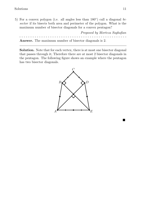5) For a convex polygon (i.e. all angles less than  $180^{\circ}$ ) call a diagonal bisector if its bisects both area and perimeter of the polygon. What is the maximum number of bisector diagonals for a convex pentagon?

Proposed by Morteza Saghafian - - - - - - - - - - - - - - - - - - - - - - - - - - - - - - - - - - - - - - - - - - - - - - - - - Answer. The maximum number of bisector diagonals is 2.

Solution. Note that for each vertex, there is at most one bisector diagonal that passes through it; Therefore there are at most 2 bisector diagonals in the pentagon. The following figure shows an example where the pentagon has two bisector diagonals.



Ō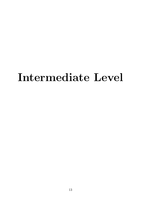# <span id="page-15-0"></span>Intermediate Level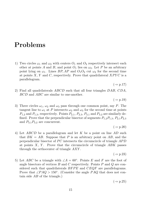#### <span id="page-17-0"></span>Problems

1) Two circles  $\omega_1$  and  $\omega_2$  with centers  $O_1$  and  $O_2$  respectively intersect each other at points A and B, and point  $O_1$  lies on  $\omega_2$ . Let P be an arbitrary point lying on  $\omega_1$ . Lines BP, AP and  $O_1O_2$  cut  $\omega_2$  for the second time at points  $X, Y$  and  $C$ , respectively. Prove that quadrilateral  $XPYC$  is a parallelogram.

 $(\rightarrow$  p[.17\)](#page-19-0)

2) Find all quadrilaterals  $ABCD$  such that all four triangles  $DAB$ ,  $CDA$ , BCD and ABC are similar to one-another.

 $(\rightarrow p.19)$  $(\rightarrow p.19)$ 

3) Three circles  $\omega_1$ ,  $\omega_2$  and  $\omega_3$  pass through one common point, say P. The tangent line to  $\omega_1$  at P intersects  $\omega_2$  and  $\omega_3$  for the second time at points  $P_{1,2}$  and  $P_{1,3}$ , respectively. Points  $P_{2,1}$ ,  $P_{2,3}$ ,  $P_{3,1}$  and  $P_{3,2}$  are similarly defined. Prove that the perpendicular bisector of segments  $P_{1,2}P_{1,3}$ ,  $P_{2,1}P_{2,3}$ and  $P_{3,1}P_{3,2}$  are concurrent.

 $(\rightarrow p.20)$  $(\rightarrow p.20)$ 

4) Let ABCD be a parallelogram and let K be a point on line AD such that  $BK = AB$ . Suppose that P is an arbitrary point on AB, and the perpendicular bisector of  $PC$  intersects the circumcircle of triangle  $APD$ at points  $X$ ,  $Y$ . Prove that the circumcircle of triangle  $ABK$  passes through the orthocenter of triangle AXY .

 $(\rightarrow p.23)$  $(\rightarrow p.23)$ 

5) Let ABC be a triangle with  $\angle A = 60^\circ$ . Points E and F are the foot of angle bisectors of vertices  $B$  and  $C$  respectively. Points  $P$  and  $Q$  are considered such that quadrilaterals  $BFPE$  and  $CEQF$  are parallelograms. Prove that  $\angle PAQ > 150^{\circ}$ . (Consider the angle PAQ that does not contain side AB of the triangle.)

 $(\rightarrow p.25)$  $(\rightarrow p.25)$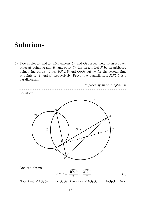#### <span id="page-19-0"></span>Solutions

1) Two circles  $\omega_1$  and  $\omega_2$  with centers  $O_1$  and  $O_2$  respectively intersect each other at points A and B, and point  $O_1$  lies on  $\omega_2$ . Let P be an arbitrary point lying on  $\omega_1$ . Lines BP, AP and  $O_1O_2$  cut  $\omega_2$  for the second time at points  $X, Y$  and  $C$ , respectively. Prove that quadrilateral  $XPYC$  is a parallelogram.





One can obtain

<span id="page-19-1"></span>
$$
\angle APB = \frac{\widehat{AO_1B}}{2} + \frac{\widehat{XCY}}{2}.
$$
 (1)

Note that  $\angle AO_2O_1 = \angle BO_2O_1$ , therefore  $\angle AO_1O_2 = \angle BO_1O_2$ . Now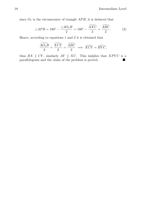since  $O_1$  is the circumcenter of triangle  $APB$ , it is deduced that<br> $\angle AO_1B$   $\angle AOC$   $\widehat{AXC}$   $\widehat{ABC}$ 

<span id="page-20-0"></span>
$$
\angle APB = 180^\circ - \frac{\angle AO_1B}{2} = 180^\circ - \frac{\stackrel{\frown}{AXC}}{2} = \frac{\stackrel{\frown}{ABC}}{2}.
$$
 (2)

Hence, according to equations [1](#page-19-1) and 2 it is obtained that<br[>](#page-20-0)  $\widehat{AO_1B}$   $\widehat{XCY}$   $\widehat{ABC}$   $\widehat{CXY}$   $\widehat{DY}$ 

$$
\frac{\widehat{AO_1B}}{2} + \frac{\widehat{XCY}}{2} = \frac{\widehat{ABC}}{2} \implies \widehat{XCY} = \widehat{BYC},
$$

thus  $BX \parallel CY$ , similarly  $AY \parallel XC$ . This imlplies that  $XPYC$  is a parallelogram and the claim of the problem is proved.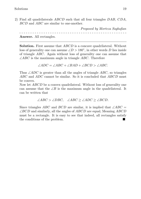2) Find all quadrilaterals ABCD such that all four triangles DAB, CDA, BCD and ABC are similar to one-another.

Proposed by Morteza Saghafian - - - - - - - - - - - - - - - - - - - - - - - - - - - - - - - - - - - - - - - - - - - - - - - - - Answer. All rectangles.

Solution. First assume that *ABCD* is a concave quadrilateral. Without loss of generality one can assume  $\angle D > 180^\circ$ , in other words D lies inside of triangle ABC. Again without loss of generality one can assume that  $\angle ABC$  is the maximum angle in triangle ABC. Therefore

$$
\angle ADC = \angle ABC + \angle BAD + \angle BCD > \angle ABC.
$$

Thus  $\angle ADC$  is greater than all the angles of triangle ABC, so triangles ABC and ADC cannot be similar. So it is concluded that ABCD must be convex.

Now let ABCD be a convex quadrilateral. Without loss of generality one can assume that the  $\angle B$  is the maximum angle in the quadrilateral. It can be written that

$$
\angle ABC > \angle DBC, \quad \angle ABC \ge \angle ADC \ge \angle BCD.
$$

Since triangles ABC and BCD are similar, it is implied that  $\angle ABC$  =  $\angle BCD$  and similarly, all the angles of ABCD are equal; Meaning ABCD must be a rectangle. It is easy to see that indeed, all rectangles satisfy the conditions of the problem.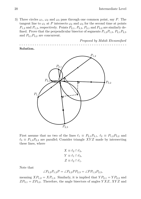3) Three circles  $\omega_1$ ,  $\omega_2$  and  $\omega_3$  pass through one common point, say P. The tangent line to  $\omega_1$  at P intersects  $\omega_2$  and  $\omega_3$  for the second time at points  $P_{1,2}$  and  $P_{1,3}$ , respectively. Points  $P_{2,1}$ ,  $P_{2,3}$ ,  $P_{3,1}$  and  $P_{3,2}$  are similarly defined. Prove that the perpendicular bisector of segments  $P_{1,2}P_{1,3}$ ,  $P_{2,1}P_{2,3}$ and  $P_{3,1}P_{3,2}$  are concurrent.

- - - - - - - - - - - - - - - - - - - - - - - - - - - - - - - - - - - - - - - - - - - - - - - - -

Proposed by Mahdi Etesamifard

Solution.



First assume that no two of the lines  $\ell_1 \equiv P_{2,1}P_{3,1}, \ell_2 \equiv P_{1,2}P_{3,2}$  and  $\ell_3 \equiv P_{1,3}P_{2,3}$  are parallel; Consider triangle XYZ made by intersecting these lines, where

$$
X \equiv \ell_2 \cap \ell_3,
$$
  
\n
$$
Y \equiv \ell_1 \cap \ell_3,
$$
  
\n
$$
Z \equiv \ell_2 \cap \ell_1.
$$

Note that

$$
\angle P_{3,2}P_{1,2}P = \angle P_{3,2}PP_{2,3} = \angle PP_{1,3}P_{2,3},
$$

meaning  $XP_{1,2} = XP_{1,3}$ . Similarly, it is implied that  $YP_{2,1} = VP_{2,3}$  and  $ZP_{3,1} = ZP_{3,2}$ . Therefore, the angle bisectors of angles  $YXZ$ ,  $XYZ$  and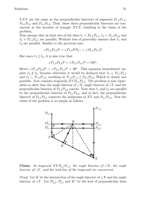$YZX$  are the same as the perpendicular bisectors of segments  $P_{1,2}P_{1,3}$ ,  $P_{2,1}P_{2,3}$  and  $P_{3,1}P_{3,2}$ ; Thus, these three perpendicular bisectors are concurrent at the incenter of triangle  $XYZ$ , resulting in the claim of the problem.

Now assume that at least two of the lines  $\ell_1 = P_{2,1}P_{3,1}, \ell_2 = P_{1,2}P_{3,2}$  and  $\ell_3 = P_{1,3}P_{2,3}$  are parallel; Without loss of generality assume that  $\ell_1$  and  $\ell_2$  are parallel. Similar to the previous case,

$$
\angle P_{1,2}P_{3,2}P = \angle P_{1,2}PP_{2,1} = \angle P_{2,1}P_{3,1}P.
$$

But since  $\ell_1 \parallel \ell_2$ , it is also true that

$$
\angle P_{1,2}P_{3,2}P + \angle P_{2,1}P_{3,1}P = 180^{\circ},
$$

Hence  $\angle P_{1,2}P_{3,2}P = \angle P_{2,1}P_{3,1}P = 90^\circ$ . This equation immediately implies  $\ell_3 \nparallel \ell_2$ , because otherwise it would be deduced that  $\ell_3 \perp P_{1,3}P_{1,2}$ and  $\ell_2 \perp P_{1,3}P_{1,2}$ , resulting in  $P_{1,3}P_{1,2} \parallel P_{3,1}P_{3,2}$ ; Which is clearly not possible. Now consider trapezoid  $XYP_{2,1}P_{1,2}$ . The problem is now equivalent to show that the angle bisector of  $\angle X$ , angle bisector of  $\angle Y$  and the perpendicular bisector of  $P_{3,1}P_{3,2}$  concur. Note that  $\ell_1$  and  $\ell_2$  are parallel to the perpendicular bisector of  $P_{3,1}P_{3,2}$ , and in fact, the perpendicular bisector of  $P_{3,1}P_{3,2}$  connects the midpoints of XY and  $P_{3,1}P_{3,2}$ . Now the claim of the problem is as simple as follows.



**Claim.** In trapezoid  $XYP_{2,1}P_{1,2}$ , the angle bisector of  $\angle X$ , the angle bisector of  $\angle Y$ , and the mid-line of the trapezoid are concurrent.

*Proof.* Let K be the intersection of the angle bisector of  $\angle X$  and the angle bisector of ∠Y. Let  $P'_{3,2}$ ,  $P'_{3,1}$  and K' be the foot of perpendicular lines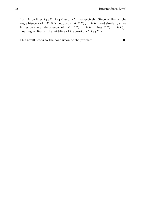from K to lines  $P_{1,2}X$ ,  $P_{2,1}Y$  and XY, respectively. Since K lies on the angle bisector of  $\angle X$ , it is deduced that  $KP'_{3,2} = KK'$ , and similarly since K lies on the angle bisector of  $\angle Y$ ,  $KP'_{3,1} = KK'$ ; Thus  $KP'_{3,1} = KP'_{3,2}$ , meaning K lies on the mid-line of trapezoid  $XYP_{2,1}P_{1,2}$ .

This result leads to the conclusion of the problem.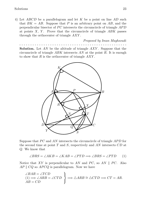4) Let ABCD be a parallelogram and let K be a point on line AD such that  $BK = AB$ . Suppose that P is an arbitrary point on AB, and the perpendicular bisector of  $PC$  intersects the circumcircle of triangle  $APD$ at points  $X$ ,  $Y$ . Prove that the circumcircle of triangle  $ABK$  passes through the orthocenter of triangle AXY .

Proposed by Iman Maghsoudi

- - - - - - - - - - - - - - - - - - - - - - - - - - - - - - - - - - - - - - - - - - - - - - - - - **Solution.** Let AN be the altitude of triangle  $AXY$ . Suppose that the circumcircle of triangle ABK intersects AN at the point R. It is enough to show that  $R$  is the orthocenter of triangle  $AXY$ .



Suppose that  $PC$  and  $AN$  intersects the circumcircle of triangle  $APD$  for the second time at point  $T$  and  $S$ , respectively and  $AN$  intersects  $CD$  at Q. We know that

<span id="page-25-0"></span>
$$
\angle BRS = \angle AKB = \angle KAB = \angle PTD \implies \angle BRS = \angle PTD \tag{1}
$$

Notice that XY is perpendicular to AN and PC, so AN  $\parallel$  PC. Also  $AP \parallel CQ$  so  $AP CQ$  is parallelogram. Now we have

$$
\begin{aligned}\n\angle BAR &= \angle TCD \\
(1) &\Longrightarrow \angle ARB = \angle CTD \\
AB &= CD\n\end{aligned}\n\Rightarrow \triangle ARB \cong \triangle CTD \Longrightarrow CT = AR.
$$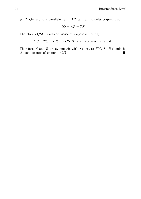So  $PTQR$  is also a parallelogram.  $APTS$  is an isosceles trapezoid so

$$
CQ = AP = TS.
$$

Therefore  $TQSC$  is also an isosceles trapezoid. Finally

 $CS = TQ = PR \Longrightarrow CSRP$  is an isosceles trapezoid.

Therefore,  $S$  and  $R$  are symmetric with respect to  $XY$ . So  $R$  should be the orthocenter of triangle  $AXY$ .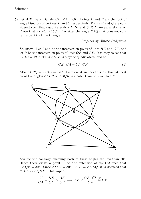5) Let ABC be a triangle with  $\angle A = 60^{\circ}$ . Points E and F are the foot of angle bisectors of vertices  $B$  and  $C$  respectively. Points  $P$  and  $Q$  are considered such that quadrilaterals  $BFPE$  and  $CEQF$  are parallelograms. Prove that  $\angle PAQ > 150^{\circ}$ . (Consider the angle PAQ that does not contain side  $AB$  of the triangle.)

Proposed by Alireza Dadgarnia - - - - - - - - - - - - - - - - - - - - - - - - - - - - - - - - - - - - - - - - - - - - - - - - - **Solution.** Let I and be the intersection point of lines  $BE$  and  $CF$ , and let R be the intersection point of lines  $OE$  and  $PF$ . It is easy to see that

 $\angle BIC = 120^\circ$ . Thus  $AEIF$  is a cyclic quadrilateral and so

<span id="page-27-0"></span>
$$
CE \cdot CA = CI \cdot CF \tag{1}
$$

Also  $\angle PRQ = \angle BIC = 120^{\circ}$ , therefore it suffices to show that at least on of the angles  $\angle APR$  or  $\angle AQR$  is greater than or equal to 30°.



Assume the contrary, meaning both of these angles are less than 30°. Hence there exists a point  $K$  on the extension of ray  $CA$  such that  $\angle KQE = 30^{\circ}$ . Since  $\angle IAC = 30^{\circ} \angle ACI = \angle KEQ$ , it is deduced that  $\triangle AIC \sim \triangle QKE$ . This implies

$$
\frac{CI}{CA} = \frac{KE}{QE} > \frac{AE}{CF} \implies AE < \frac{CF \cdot CI}{CA} \stackrel{(1)}{=} CE.
$$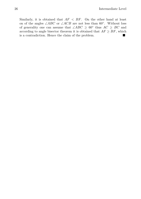Similarly, it is obtained that  $AF < BF$ . On the other hand at least on of the angles  $\angle ABC$  or  $\angle ACB$  are not less than 60°. Without loss of generality one can assume that  $\angle ABC \geq 60^{\circ}$  thus  $AC \geq BC$  and according to angle bisector theorem it is obtained that  $AF > BF$ , which is a contradiction. Hence the claim of the problem.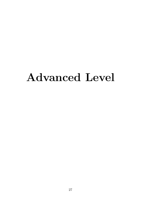## <span id="page-29-0"></span>Advanced Level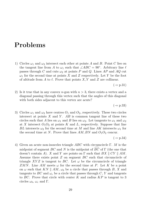#### <span id="page-31-0"></span>Problems

1) Circles  $\omega_1$  and  $\omega_2$  intersect each other at points A and B. Point C lies on the tangent line from A to  $\omega_1$  such that  $\angle ABC = 90^\circ$ . Arbitrary line  $\ell$ passes through C and cuts  $\omega_2$  at points P and Q. Lines AP and AQ cut  $\omega_1$  for the second time at points X and Z respectively. Let Y be the foot of altitude from A to  $\ell$ . Prove that points X, Y and Z are collinear.

 $(\rightarrow$  p[.31\)](#page-33-0)

2) Is it true that in any convex n-gon with  $n > 3$ , there exists a vertex and a diagonal passing through this vertex such that the angles of this diagonal with both sides adjacent to this vertex are acute?

 $(\rightarrow p.33)$  $(\rightarrow p.33)$ 

3) Circles  $\omega_1$  and  $\omega_2$  have centres  $O_1$  and  $O_2$ , respectively. These two circles intersect at points  $X$  and  $Y$ .  $AB$  is common tangent line of these two circles such that A lies on  $\omega_1$  and B lies on  $\omega_2$ . Let tangents to  $\omega_1$  and  $\omega_2$ at X intersect  $O_1O_2$  at points K and L, respectively. Suppose that line BL intersects  $\omega_2$  for the second time at M and line AK intersects  $\omega_1$  for the second time at N. Prove that lines  $AM, BN$  and  $O_1O_2$  concur.

 $(\rightarrow$  p[.34\)](#page-33-0)

4) Given an acute non-isosceles triangle ABC with circumcircle Γ. M is the Given an acute non-isosceles triangle ABC with circumcircle  $\Gamma$ . M is the midpoint of segment BC and N is the midpoint of  $\widehat{BC}$  of  $\Gamma$  (the one that doesn't contain A). X and Y are points on  $\Gamma$  such that  $BX \parallel CY \parallel AM$ . Assume there exists point  $Z$  on segment  $BC$  such that circumcircle of triangle XYZ is tangent to BC. Let  $\omega$  be the circumcircle of triangle ZMN. Line AM meets  $\omega$  for the second time at P. Let K be a point on  $\omega$  such that KN || AM,  $\omega_b$  be a circle that passes through B, X and tangents to BC and  $\omega_c$  be a circle that passes through C, Y and tangents to  $BC$ . Prove that circle with center K and radius  $KP$  is tangent to 3 circles  $\omega_b$ ,  $\omega_c$  and Γ.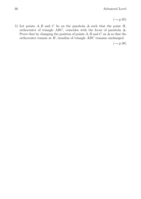$(\rightarrow p.35)$  $(\rightarrow p.35)$ 

5) Let points A, B and C lie on the parabola  $\Delta$  such that the point H, orthocenter of triangle ABC, coincides with the focus of parabola  $\Delta$ . Prove that by changing the position of points A, B and C on  $\Delta$  so that the orthocenter remain at H, inradius of triangle ABC remains unchanged.

 $(\rightarrow p.38)$  $(\rightarrow p.38)$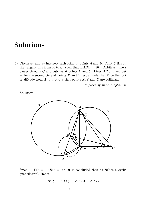#### <span id="page-33-0"></span>Solutions

1) Circles  $\omega_1$  and  $\omega_2$  intersect each other at points A and B. Point C lies on the tangent line from A to  $\omega_1$  such that  $\angle ABC = 90^\circ$ . Arbitrary line  $\ell$ passes through C and cuts  $\omega_2$  at points P and Q. Lines AP and AQ cut  $\omega_1$  for the second time at points X and Z respectively. Let Y be the foot of altitude from A to  $\ell$ . Prove that points X, Y and Z are collinear.

Proposed by Iman Maghsoudi - - - - - - - - - - - - - - - - - - - - - - - - - - - - - - - - - - - - - - - - - - - - - - - - - Solution.



Since  $\angle AYC = \angle ABC = 90^{\circ}$ , it is concluded that  $AYBC$  is a cyclic quadrilateral. Hence

$$
\angle BYC = \angle BAC = \angle BXA = \angle BXP.
$$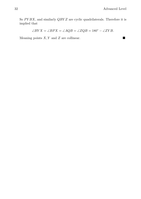So  $PYBX$ , and similarly  $QBYZ$  are cyclic quadrilaterals. Therefore it is implied that

$$
\angle BYX = \angle BPX = \angle AQB = \angle ZQB = 180^{\circ} - \angle ZYB.
$$

Meaning points  $X, Y$  and  $Z$  are collinear.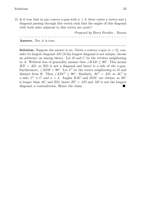2) Is it true that in any convex n-gon with  $n > 3$ , there exists a vertex and a diagonal passing through this vertex such that the angles of this diagonal with both sides adjacent to this vertex are acute?

Proposed by Boris Frenkin - Russia - - - - - - - - - - - - - - - - - - - - - - - - - - - - - - - - - - - - - - - - - - - - - - - - - Answer. Yes, it is true.

**Solution.** Suppose the answer is no. Given a convex  $n$ -gon  $(n > 3)$ , consider its longest diagonal AD (if the longest diagonal is not unique, choose an arbitrary on among them). Let  $B$  and  $C$  be the vertices neighboring to A. Without loss of generality assume that  $\angle BAD \ge 90^\circ$ . This means  $BD > AD$ , so  $BD$  is not a diagonal and hence is a side of the *n*-gon. Furthermore,  $\angle ADB < 90^\circ$ . Let C' be the vertex neighboring to D and distinct from B. Then  $\angle ADC' \ge 90^\circ$ . Similarly,  $AC' > AD$ , so  $AC'$  is a side,  $C' \equiv C$  and  $n = 4$ . Angles  $BAC$  and  $BDC$  are obtuse, so  $BC$ is longer than AC and BD, hence  $BC > AD$  and AD is not the longest diagonal, a contradiction. Hence the claim.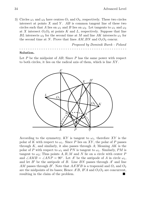3) Circles  $\omega_1$  and  $\omega_2$  have centres  $O_1$  and  $O_2$ , respectively. These two circles intersect at points  $X$  and  $Y$ .  $AB$  is common tangent line of these two circles such that A lies on  $\omega_1$  and B lies on  $\omega_2$ . Let tangents to  $\omega_1$  and  $\omega_2$ at X intersect  $O_1O_2$  at points K and L, respectively. Suppose that line BL intersects  $\omega_2$  for the second time at M and line AK intersects  $\omega_1$  for the second time at N. Prove that lines  $AM$ , BN and  $O_1O_2$  concur.

Proposed by Dominik Burek - Poland - - - - - - - - - - - - - - - - - - - - - - - - - - - - - - - - - - - - - - - - - - - - - - - - -

#### Solution.

Let  $P$  be the midpoint of  $AB$ ; Since  $P$  has the same power with respect to both circles, it lies on the radical axis of them, which is line XY .



According to the symmetry,  $KY$  is tangent to  $\omega_1$ , therefore XY is the polar of K with respect to  $\omega_1$ . Since P lies on XY, the polar of P passes through K, and similarly, it also passes through A; Meaning  $AK$  is the polar of P with respect to  $\omega_1$  and PN is tangent to  $\omega_1$ . Similarly, PM is tangent to  $\omega_2$ ; Thus points A, B, M and N lie on a circle with center P and  $\angle AMB = \angle AND = 90^\circ$ . Let A' be the antipode of A in circle  $\omega_1$ , and let  $B'$  be the antipode of B. Line BN passes through  $A'$  and line AM passes through B'. Note that  $AA'B'B$  is a trapezoid and  $O_1$  and  $O_2$ are the midpoints of its bases; Hence  $A'B$ ,  $B'A$  and  $O_1O_2$  are concurrent, resulting in the claim of the problem.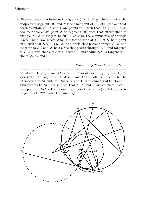4) Given an acute non-isosceles triangle ABC with circumcircle Γ. M is the midpoint of segment BC and N is the midpoint of  $\widehat{BC}$  of Γ (the one that midpoint of segment BC and N is the midpoint of  $\overrightarrow{BC}$  of  $\Gamma$  (the one that doesn't contain A). X and Y are points on  $\Gamma$  such that  $BX \parallel CY \parallel AM$ . Assume there exists point Z on segment BC such that circumcircle of triangle XYZ is tangent to BC. Let  $\omega$  be the circumcircle of triangle ZMN. Line AM meets  $\omega$  for the second time at P. Let K be a point on  $\omega$  such that KN || AM,  $\omega_b$  be a circle that passes through B, X and tangents to BC and  $\omega_c$  be a circle that passes through C, Y and tangents to  $BC$ . Prove that circle with center K and radius  $KP$  is tangent to 3 circles  $\omega_b$ ,  $\omega_c$  and Γ.

Proposed by Tran Quan - Vietnam - - - - - - - - - - - - - - - - - - - - - - - - - - - - - - - - - - - - - - - - - - - - - - - - - **Solution.** Let I, J and O be the centers of circles  $\omega_b$ ,  $\omega_c$  and Γ, respectively. It's easy to see that  $I, J$  and  $O$  are collinear. Let  $S$  be the intersection of  $IJ$  and  $BC$ . Since  $X$  and  $Y$  are symmetrical to  $B$  and  $C$ with respect to  $IJ$ , it is implied that  $S$ ,  $X$  and  $Y$  are collinear. Let  $T$ with respect to  $IJ$ , it is implied that  $S$ ,  $X$  and  $Y$  are collinear. Let  $T$  be a point on  $\widehat{BC}$  of  $\Gamma$  (the one that doesn't contain  $A$ ) such that  $ST$  is tangent to Γ. TZ meets Γ again at  $Q$ .

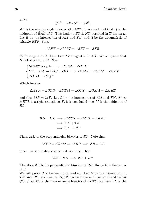Since

$$
ST^2 = SX \cdot SY = SZ^2,
$$

ZT is the interior angle bisector of  $\angle BTC$ , it is concluded that Q is the midpoint of  $\widehat{BAC}$  of  $\Gamma$ . This leads to  $ZT \perp NT$ , resulted in T lies on  $\omega$ . midpoint of  $B A C$  of  $\Gamma$ . This leads to  $Z T \perp N T$ , resulted in T lies on  $\omega$ . Let R be the intersection of AM and TO, and  $\Omega$  be the circumcircle of triangle  $RTP$ . Since

$$
\angle RPT = \angle MPT = \angle SZT = \angle STR,
$$

ST is tangent to  $\Omega$ . Therefore  $\Omega$  is tangent to  $\Gamma$  at T. We will prove that K is the center of  $\Omega$ . Now

$$
\begin{cases}\nSOMT \text{ is cyclic} \implies \angle OSM = \angle OTM \\
OS \perp AM \text{ and } MS \perp OM \implies \angle OMA = \angle OSM = \angle OTM \\
\angle OTQ = \angle OQT\n\end{cases}
$$

Which implies

$$
\angle MTR = \angle OTQ + \angle OTM = \angle OQT + \angle OMA = \angle MRT,
$$

and thus  $MR = MT$ . Let L be the intersection of AM and TN. Since  $\triangle RTL$  is a right triangle at T, it is concluded that M is the midpoint of RL.

$$
KN \parallel ML \implies \angle MTN = \angle MLT = \angle KNT
$$
  

$$
\implies KM \parallel TN
$$
  

$$
\implies KM \perp RT
$$

Thus, MK is the perpendicular bisector of RT. Note that

$$
\angle ZPR = \angle ZTM = \angle ZRP \implies ZR = ZP.
$$

Since  $ZN$  is the diameter of  $\omega$  it is implied that

$$
ZK \perp KN \implies ZK \perp RP.
$$

Therefore  $ZK$  is the perpendicular bisector of  $RP$ . Hence K is the center of Ω.

We will prove  $\Omega$  is tangent to  $\omega_b$  and  $\omega_c$ . Let D be the intersection of TN and BC, and denote  $(S, SZ)$  to be circle with center S and radius SZ. Since TZ is the interior angle bisector of  $\angle BTC$ , we have TD is the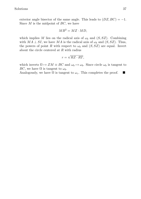exterior angle bisector of the same angle. This leads to  $(DZ, BC) = -1$ . Since  $M$  is the midpoint of  $BC$ , we have

$$
MB^2 = MZ \cdot MD,
$$

which implies M lies on the radical axis of  $\omega_b$  and  $(S, SZ)$ . Combining with  $MA \perp SI$ , we have MA is the radical axis of  $\omega_b$  and  $(S, SZ)$ . Thus, the powers of point R with respect to  $\omega_b$  and  $(S, SZ)$  are equal. Invert about the circle centered at R with radius

$$
r = \sqrt{RZ \cdot RT},
$$

which inverts  $\Omega \mapsto ZM \equiv BC$  and  $\omega_b \mapsto \omega_b$ . Since circle  $\omega_b$  is tangent to BC, we have  $\Omega$  is tangent to  $\omega_b$ .

Analogously, we have  $\Omega$  is tangent to  $\omega_c$ . This completes the proof.  $\blacksquare$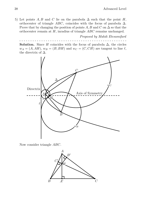5) Let points A, B and C lie on the parabola  $\Delta$  such that the point H, orthocenter of triangle ABC, coincides with the focus of parabola  $\Delta$ . Prove that by changing the position of points A, B and C on  $\Delta$  so that the orthocenter remain at H, inradius of triangle ABC remains unchanged.

Proposed by Mahdi Etesamifard

- - - - - - - - - - - - - - - - - - - - - - - - - - - - - - - - - - - - - - - - - - - - - - - - - **Solution.** Since H coincides with the focus of parabola  $\Delta$ , the circles  $w_A = (A, AH), w_B = (B, BH)$  and  $w_C = (C, CH)$  are tangent to line  $\ell$ , the directrix of  $\Delta$ .



Now consider triangle ABC.

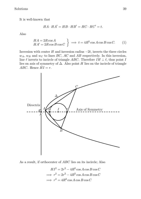It is well-known that

$$
HA \cdot HA' = HB \cdot HB' = HC \cdot HC' = t.
$$

Also

<span id="page-41-0"></span>
$$
\left\{\n \begin{aligned}\n H A &= 2R\cos A \\
 H A' &= 2R\cos B\cos C\n \end{aligned}\n \right\}\n \implies t = 4R^2\cos A\cos B\cos C.\n \tag{1}
$$

Inversion with center H and inversion radius  $-2t$ , inverts the three circles  $w_A$ ,  $w_B$  and  $w_C$  to lines BC, AC and AB respectively. In this inversion, line  $\ell$  inverts to incircle of triangle ABC. Therefore  $IH \perp \ell$ , thus point I lies on axis of symmetry of  $\Delta$ . Also point H lies on the incircle of triangle ABC. Hence  $HI = r$ .



As a result, if orthocenter of ABC lies on its incircle; Also

$$
HI^{2} = 2r^{2} - 4R^{2} \cos A \cos B \cos C
$$
  
\n
$$
\implies r^{2} = 2r^{2} - 4R^{2} \cos A \cos B \cos C
$$
  
\n
$$
\implies r^{2} = 4R^{2} \cos A \cos B \cos C
$$